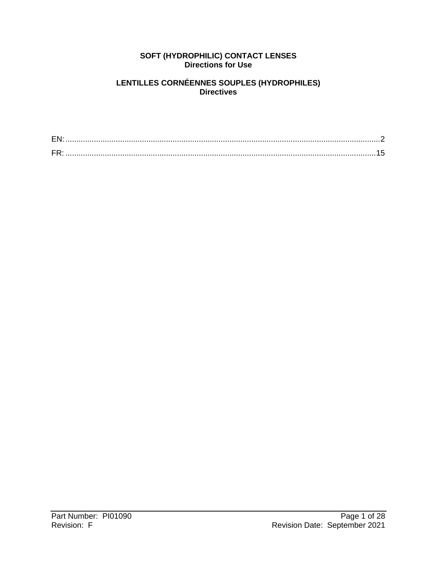#### **SOFT (HYDROPHILIC) CONTACT LENSES Directions for Use**

#### **LENTILLES CORNÉENNES SOUPLES (HYDROPHILES) Directives**

| ᇊ |  |
|---|--|
|   |  |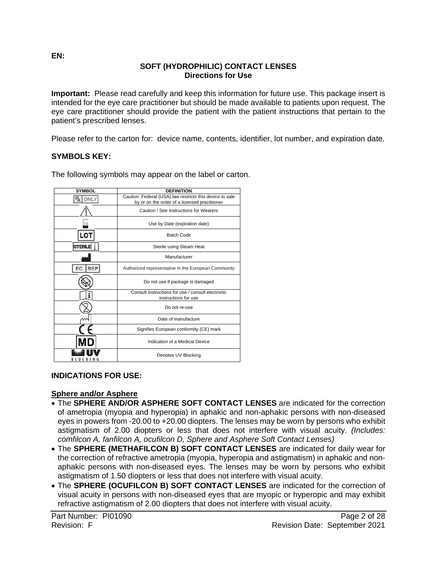#### **SOFT (HYDROPHILIC) CONTACT LENSES Directions for Use**

**Important:** Please read carefully and keep this information for future use. This package insert is intended for the eye care practitioner but should be made available to patients upon request. The eye care practitioner should provide the patient with the patient instructions that pertain to the patient's prescribed lenses.

Please refer to the carton for: device name, contents, identifier, lot number, and expiration date.

### **SYMBOLS KEY:**

| <b>SYMBOL</b>  | <b>DEFINITION</b>                                                                                         |
|----------------|-----------------------------------------------------------------------------------------------------------|
| ONLY           | Caution: Federal (USA) law restricts this device to sale<br>by or on the order of a licensed practitioner |
|                | Caution / See Instructions for Wearers                                                                    |
|                | Use by Date (expiration date)                                                                             |
| LOT            | <b>Batch Code</b>                                                                                         |
| <b>STERILE</b> | Sterile using Steam Heat                                                                                  |
|                | Manufacturer                                                                                              |
| RFP<br>EC.     | Authorized representative in the European Community                                                       |
|                | Do not use if package is damaged                                                                          |
|                | Consult instructions for use / consult electronic<br>instructions for use                                 |
|                | Do not re-use                                                                                             |
|                | Date of manufacture                                                                                       |
|                | Signifies European conformity (CE) mark                                                                   |
|                | Indication of a Medical Device                                                                            |
|                | Denotes UV Blocking                                                                                       |

The following symbols may appear on the label or carton.

### **INDICATIONS FOR USE:**

#### **Sphere and/or Asphere**

- The **SPHERE AND/OR ASPHERE SOFT CONTACT LENSES** are indicated for the correction of ametropia (myopia and hyperopia) in aphakic and non-aphakic persons with non-diseased eyes in powers from -20.00 to +20.00 diopters. The lenses may be worn by persons who exhibit astigmatism of 2.00 diopters or less that does not interfere with visual acuity. *(Includes: comfilcon A, fanfilcon A, ocufilcon D, Sphere and Asphere Soft Contact Lenses)*
- The **SPHERE (METHAFILCON B) SOFT CONTACT LENSES** are indicated for daily wear for the correction of refractive ametropia (myopia, hyperopia and astigmatism) in aphakic and nonaphakic persons with non-diseased eyes. The lenses may be worn by persons who exhibit astigmatism of 1.50 diopters or less that does not interfere with visual acuity.
- The **SPHERE (OCUFILCON B) SOFT CONTACT LENSES** are indicated for the correction of visual acuity in persons with non-diseased eyes that are myopic or hyperopic and may exhibit refractive astigmatism of 2.00 diopters that does not interfere with visual acuity.

<span id="page-1-0"></span>**EN:**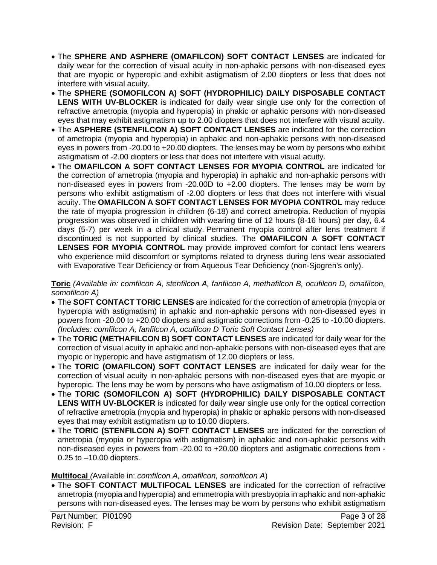- The **SPHERE AND ASPHERE (OMAFILCON) SOFT CONTACT LENSES** are indicated for daily wear for the correction of visual acuity in non-aphakic persons with non-diseased eyes that are myopic or hyperopic and exhibit astigmatism of 2.00 diopters or less that does not interfere with visual acuity.
- The **SPHERE (SOMOFILCON A) SOFT (HYDROPHILIC) DAILY DISPOSABLE CONTACT LENS WITH UV-BLOCKER** is indicated for daily wear single use only for the correction of refractive ametropia (myopia and hyperopia) in phakic or aphakic persons with non-diseased eyes that may exhibit astigmatism up to 2.00 diopters that does not interfere with visual acuity.
- The **ASPHERE (STENFILCON A) SOFT CONTACT LENSES** are indicated for the correction of ametropia (myopia and hyperopia) in aphakic and non-aphakic persons with non-diseased eyes in powers from -20.00 to +20.00 diopters. The lenses may be worn by persons who exhibit astigmatism of -2.00 diopters or less that does not interfere with visual acuity.
- The **OMAFILCON A SOFT CONTACT LENSES FOR MYOPIA CONTROL** are indicated for the correction of ametropia (myopia and hyperopia) in aphakic and non-aphakic persons with non-diseased eyes in powers from -20.00D to +2.00 diopters. The lenses may be worn by persons who exhibit astigmatism of -2.00 diopters or less that does not interfere with visual acuity. The **OMAFILCON A SOFT CONTACT LENSES FOR MYOPIA CONTROL** may reduce the rate of myopia progression in children (6-18) and correct ametropia. Reduction of myopia progression was observed in children with wearing time of 12 hours (8-16 hours) per day, 6.4 days (5-7) per week in a clinical study. Permanent myopia control after lens treatment if discontinued is not supported by clinical studies. The **OMAFILCON A SOFT CONTACT LENSES FOR MYOPIA CONTROL** may provide improved comfort for contact lens wearers who experience mild discomfort or symptoms related to dryness during lens wear associated with Evaporative Tear Deficiency or from Aqueous Tear Deficiency (non-Sjogren's only).

**Toric** *(Available in: comfilcon A, stenfilcon A, fanfilcon A, methafilcon B, ocufilcon D, omafilcon, somofilcon A)*

- The **SOFT CONTACT TORIC LENSES** are indicated for the correction of ametropia (myopia or hyperopia with astigmatism) in aphakic and non-aphakic persons with non-diseased eyes in powers from -20.00 to +20.00 diopters and astigmatic corrections from -0.25 to -10.00 diopters. *(Includes: comfilcon A, fanfilcon A, ocufilcon D Toric Soft Contact Lenses)*
- The **TORIC (METHAFILCON B) SOFT CONTACT LENSES** are indicated for daily wear for the correction of visual acuity in aphakic and non-aphakic persons with non-diseased eyes that are myopic or hyperopic and have astigmatism of 12.00 diopters or less.
- The **TORIC (OMAFILCON) SOFT CONTACT LENSES** are indicated for daily wear for the correction of visual acuity in non-aphakic persons with non-diseased eyes that are myopic or hyperopic. The lens may be worn by persons who have astigmatism of 10.00 diopters or less.
- The **TORIC (SOMOFILCON A) SOFT (HYDROPHILIC) DAILY DISPOSABLE CONTACT**  LENS WITH UV-BLOCKER is indicated for daily wear single use only for the optical correction of refractive ametropia (myopia and hyperopia) in phakic or aphakic persons with non-diseased eyes that may exhibit astigmatism up to 10.00 diopters.
- The **TORIC (STENFILCON A) SOFT CONTACT LENSES** are indicated for the correction of ametropia (myopia or hyperopia with astigmatism) in aphakic and non-aphakic persons with non-diseased eyes in powers from -20.00 to +20.00 diopters and astigmatic corrections from - 0.25 to –10.00 diopters.

#### **Multifocal** *(*Available in: *comfilcon A, omafilcon, somofilcon A*)

• The **SOFT CONTACT MULTIFOCAL LENSES** are indicated for the correction of refractive ametropia (myopia and hyperopia) and emmetropia with presbyopia in aphakic and non-aphakic persons with non-diseased eyes. The lenses may be worn by persons who exhibit astigmatism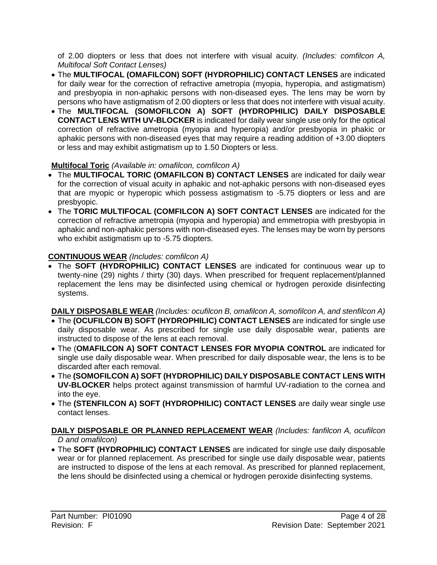of 2.00 diopters or less that does not interfere with visual acuity. *(Includes: comfilcon A, Multifocal Soft Contact Lenses)*

- The **MULTIFOCAL (OMAFILCON) SOFT (HYDROPHILIC) CONTACT LENSES** are indicated for daily wear for the correction of refractive ametropia (myopia, hyperopia, and astigmatism) and presbyopia in non-aphakic persons with non-diseased eyes. The lens may be worn by persons who have astigmatism of 2.00 diopters or less that does not interfere with visual acuity.
- The **MULTIFOCAL (SOMOFILCON A) SOFT (HYDROPHILIC) DAILY DISPOSABLE CONTACT LENS WITH UV-BLOCKER** is indicated for daily wear single use only for the optical correction of refractive ametropia (myopia and hyperopia) and/or presbyopia in phakic or aphakic persons with non-diseased eyes that may require a reading addition of +3.00 diopters or less and may exhibit astigmatism up to 1.50 Diopters or less.

### **Multifocal Toric** *(Available in: omafilcon, comfilcon A)*

- The **MULTIFOCAL TORIC (OMAFILCON B) CONTACT LENSES** are indicated for daily wear for the correction of visual acuity in aphakic and not-aphakic persons with non-diseased eyes that are myopic or hyperopic which possess astigmatism to -5.75 diopters or less and are presbyopic.
- The **TORIC MULTIFOCAL (COMFILCON A) SOFT CONTACT LENSES** are indicated for the correction of refractive ametropia (myopia and hyperopia) and emmetropia with presbyopia in aphakic and non-aphakic persons with non-diseased eyes. The lenses may be worn by persons who exhibit astigmatism up to -5.75 diopters.

# **CONTINUOUS WEAR** *(Includes: comfilcon A)*

• The **SOFT (HYDROPHILIC) CONTACT LENSES** are indicated for continuous wear up to twenty-nine (29) nights / thirty (30) days. When prescribed for frequent replacement/planned replacement the lens may be disinfected using chemical or hydrogen peroxide disinfecting systems.

**DAILY DISPOSABLE WEAR** *(Includes: ocufilcon B, omafilcon A, somofilcon A, and stenfilcon A)*

- The **(OCUFILCON B) SOFT (HYDROPHILIC) CONTACT LENSES** are indicated for single use daily disposable wear. As prescribed for single use daily disposable wear, patients are instructed to dispose of the lens at each removal.
- The (**OMAFILCON A) SOFT CONTACT LENSES FOR MYOPIA CONTROL** are indicated for single use daily disposable wear. When prescribed for daily disposable wear, the lens is to be discarded after each removal.
- The **(SOMOFILCON A) SOFT (HYDROPHILIC) DAILY DISPOSABLE CONTACT LENS WITH UV-BLOCKER** helps protect against transmission of harmful UV-radiation to the cornea and into the eye.
- The **(STENFILCON A) SOFT (HYDROPHILIC) CONTACT LENSES** are daily wear single use contact lenses.

### **DAILY DISPOSABLE OR PLANNED REPLACEMENT WEAR** *(Includes: fanfilcon A, ocufilcon D and omafilcon)*

• The **SOFT (HYDROPHILIC) CONTACT LENSES** are indicated for single use daily disposable wear or for planned replacement. As prescribed for single use daily disposable wear, patients are instructed to dispose of the lens at each removal. As prescribed for planned replacement, the lens should be disinfected using a chemical or hydrogen peroxide disinfecting systems.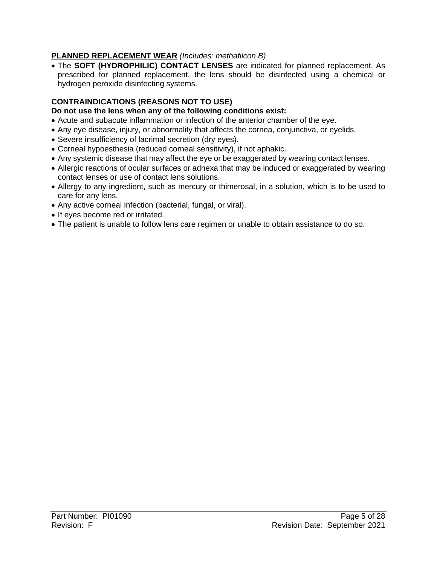### **PLANNED REPLACEMENT WEAR** *(Includes: methafilcon B)*

• The **SOFT (HYDROPHILIC) CONTACT LENSES** are indicated for planned replacement. As prescribed for planned replacement, the lens should be disinfected using a chemical or hydrogen peroxide disinfecting systems.

# **CONTRAINDICATIONS (REASONS NOT TO USE)**

### **Do not use the lens when any of the following conditions exist:**

- Acute and subacute inflammation or infection of the anterior chamber of the eye.
- Any eye disease, injury, or abnormality that affects the cornea, conjunctiva, or eyelids.
- Severe insufficiency of lacrimal secretion (dry eyes).
- Corneal hypoesthesia (reduced corneal sensitivity), if not aphakic.
- Any systemic disease that may affect the eye or be exaggerated by wearing contact lenses.
- Allergic reactions of ocular surfaces or adnexa that may be induced or exaggerated by wearing contact lenses or use of contact lens solutions.
- Allergy to any ingredient, such as mercury or thimerosal, in a solution, which is to be used to care for any lens.
- Any active corneal infection (bacterial, fungal, or viral).
- If eyes become red or irritated.
- The patient is unable to follow lens care regimen or unable to obtain assistance to do so.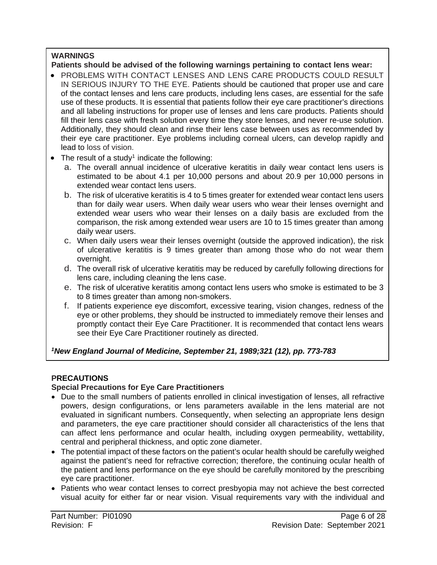### **WARNINGS**

#### **Patients should be advised of the following warnings pertaining to contact lens wear:**

- PROBLEMS WITH CONTACT LENSES AND LENS CARE PRODUCTS COULD RESULT IN SERIOUS INJURY TO THE EYE. Patients should be cautioned that proper use and care of the contact lenses and lens care products, including lens cases, are essential for the safe use of these products. It is essential that patients follow their eye care practitioner's directions and all labeling instructions for proper use of lenses and lens care products. Patients should fill their lens case with fresh solution every time they store lenses, and never re-use solution. Additionally, they should clean and rinse their lens case between uses as recommended by their eye care practitioner. Eye problems including corneal ulcers, can develop rapidly and lead to loss of vision.
- $\bullet$  The result of a study<sup>1</sup> indicate the following:
	- a. The overall annual incidence of ulcerative keratitis in daily wear contact lens users is estimated to be about 4.1 per 10,000 persons and about 20.9 per 10,000 persons in extended wear contact lens users.
	- b. The risk of ulcerative keratitis is 4 to 5 times greater for extended wear contact lens users than for daily wear users. When daily wear users who wear their lenses overnight and extended wear users who wear their lenses on a daily basis are excluded from the comparison, the risk among extended wear users are 10 to 15 times greater than among daily wear users.
	- c. When daily users wear their lenses overnight (outside the approved indication), the risk of ulcerative keratitis is 9 times greater than among those who do not wear them overnight.
	- d. The overall risk of ulcerative keratitis may be reduced by carefully following directions for lens care, including cleaning the lens case.
	- e. The risk of ulcerative keratitis among contact lens users who smoke is estimated to be 3 to 8 times greater than among non-smokers.
	- f. If patients experience eye discomfort, excessive tearing, vision changes, redness of the eye or other problems, they should be instructed to immediately remove their lenses and promptly contact their Eye Care Practitioner. It is recommended that contact lens wears see their Eye Care Practitioner routinely as directed.

*1 New England Journal of Medicine, September 21, 1989;321 (12), pp. 773-783*

# **PRECAUTIONS**

### **Special Precautions for Eye Care Practitioners**

- Due to the small numbers of patients enrolled in clinical investigation of lenses, all refractive powers, design configurations, or lens parameters available in the lens material are not evaluated in significant numbers. Consequently, when selecting an appropriate lens design and parameters, the eye care practitioner should consider all characteristics of the lens that can affect lens performance and ocular health, including oxygen permeability, wettability, central and peripheral thickness, and optic zone diameter.
- The potential impact of these factors on the patient's ocular health should be carefully weighed against the patient's need for refractive correction; therefore, the continuing ocular health of the patient and lens performance on the eye should be carefully monitored by the prescribing eye care practitioner.
- Patients who wear contact lenses to correct presbyopia may not achieve the best corrected visual acuity for either far or near vision. Visual requirements vary with the individual and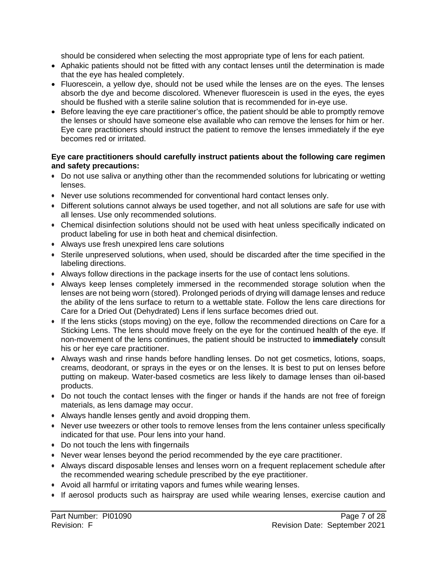should be considered when selecting the most appropriate type of lens for each patient.

- Aphakic patients should not be fitted with any contact lenses until the determination is made that the eye has healed completely.
- Fluorescein, a yellow dye, should not be used while the lenses are on the eyes. The lenses absorb the dye and become discolored. Whenever fluorescein is used in the eyes, the eyes should be flushed with a sterile saline solution that is recommended for in-eye use.
- Before leaving the eye care practitioner's office, the patient should be able to promptly remove the lenses or should have someone else available who can remove the lenses for him or her. Eye care practitioners should instruct the patient to remove the lenses immediately if the eye becomes red or irritated.

#### **Eye care practitioners should carefully instruct patients about the following care regimen and safety precautions:**

- Do not use saliva or anything other than the recommended solutions for lubricating or wetting lenses.
- Never use solutions recommended for conventional hard contact lenses only.
- Different solutions cannot always be used together, and not all solutions are safe for use with all lenses. Use only recommended solutions.
- Chemical disinfection solutions should not be used with heat unless specifically indicated on product labeling for use in both heat and chemical disinfection.
- Always use fresh unexpired lens care solutions
- Sterile unpreserved solutions, when used, should be discarded after the time specified in the labeling directions.
- Always follow directions in the package inserts for the use of contact lens solutions.
- Always keep lenses completely immersed in the recommended storage solution when the lenses are not being worn (stored). Prolonged periods of drying will damage lenses and reduce the ability of the lens surface to return to a wettable state. Follow the lens care directions for Care for a Dried Out (Dehydrated) Lens if lens surface becomes dried out.
- If the lens sticks (stops moving) on the eye, follow the recommended directions on Care for a Sticking Lens. The lens should move freely on the eye for the continued health of the eye. If non-movement of the lens continues, the patient should be instructed to **immediately** consult his or her eye care practitioner.
- Always wash and rinse hands before handling lenses. Do not get cosmetics, lotions, soaps, creams, deodorant, or sprays in the eyes or on the lenses. It is best to put on lenses before putting on makeup. Water-based cosmetics are less likely to damage lenses than oil-based products.
- Do not touch the contact lenses with the finger or hands if the hands are not free of foreign materials, as lens damage may occur.
- Always handle lenses gently and avoid dropping them.
- Never use tweezers or other tools to remove lenses from the lens container unless specifically indicated for that use. Pour lens into your hand.
- Do not touch the lens with fingernails
- Never wear lenses beyond the period recommended by the eye care practitioner.
- Always discard disposable lenses and lenses worn on a frequent replacement schedule after the recommended wearing schedule prescribed by the eye practitioner.
- Avoid all harmful or irritating vapors and fumes while wearing lenses.
- If aerosol products such as hairspray are used while wearing lenses, exercise caution and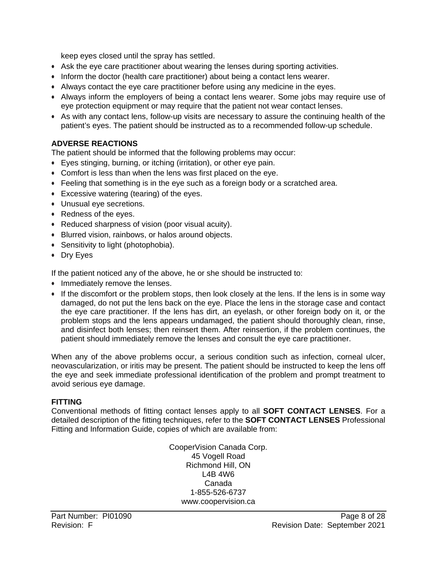keep eyes closed until the spray has settled.

- Ask the eye care practitioner about wearing the lenses during sporting activities.
- Inform the doctor (health care practitioner) about being a contact lens wearer.
- Always contact the eye care practitioner before using any medicine in the eyes.
- Always inform the employers of being a contact lens wearer. Some jobs may require use of eye protection equipment or may require that the patient not wear contact lenses.
- As with any contact lens, follow-up visits are necessary to assure the continuing health of the patient's eyes. The patient should be instructed as to a recommended follow-up schedule.

### **ADVERSE REACTIONS**

The patient should be informed that the following problems may occur:

- Eyes stinging, burning, or itching (irritation), or other eye pain.
- Comfort is less than when the lens was first placed on the eye.
- Feeling that something is in the eye such as a foreign body or a scratched area.
- Excessive watering (tearing) of the eyes.
- Unusual eye secretions.
- Redness of the eyes.
- Reduced sharpness of vision (poor visual acuity).
- Blurred vision, rainbows, or halos around objects.
- Sensitivity to light (photophobia).
- Dry Eyes

If the patient noticed any of the above, he or she should be instructed to:

- Immediately remove the lenses.
- If the discomfort or the problem stops, then look closely at the lens. If the lens is in some way damaged, do not put the lens back on the eye. Place the lens in the storage case and contact the eye care practitioner. If the lens has dirt, an eyelash, or other foreign body on it, or the problem stops and the lens appears undamaged, the patient should thoroughly clean, rinse, and disinfect both lenses; then reinsert them. After reinsertion, if the problem continues, the patient should immediately remove the lenses and consult the eye care practitioner.

When any of the above problems occur, a serious condition such as infection, corneal ulcer, neovascularization, or iritis may be present. The patient should be instructed to keep the lens off the eye and seek immediate professional identification of the problem and prompt treatment to avoid serious eye damage.

#### **FITTING**

Conventional methods of fitting contact lenses apply to all **SOFT CONTACT LENSES**. For a detailed description of the fitting techniques, refer to the **SOFT CONTACT LENSES** Professional Fitting and Information Guide, copies of which are available from:

> CooperVision Canada Corp. 45 Vogell Road Richmond Hill, ON L4B 4W6 Canada 1-855-526-6737 [www.coopervision.ca](http://www.coopervision.ca/)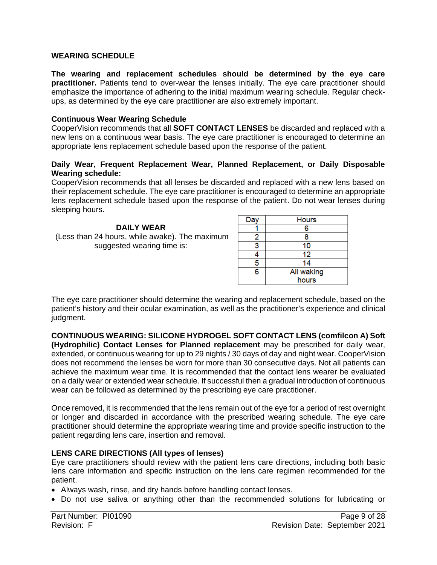#### **WEARING SCHEDULE**

**The wearing and replacement schedules should be determined by the eye care practitioner.** Patients tend to over-wear the lenses initially. The eye care practitioner should emphasize the importance of adhering to the initial maximum wearing schedule. Regular checkups, as determined by the eye care practitioner are also extremely important.

#### **Continuous Wear Wearing Schedule**

CooperVision recommends that all **SOFT CONTACT LENSES** be discarded and replaced with a new lens on a continuous wear basis. The eye care practitioner is encouraged to determine an appropriate lens replacement schedule based upon the response of the patient.

#### **Daily Wear, Frequent Replacement Wear, Planned Replacement, or Daily Disposable Wearing schedule:**

CooperVision recommends that all lenses be discarded and replaced with a new lens based on their replacement schedule. The eye care practitioner is encouraged to determine an appropriate lens replacement schedule based upon the response of the patient. Do not wear lenses during sleeping hours.

**DAILY WEAR** (Less than 24 hours, while awake). The maximum suggested wearing time is:

| Da | <b>Hours</b> |
|----|--------------|
|    | 6            |
| 2  | 8            |
|    | 10           |
|    | 12           |
| 5  | 14           |
| 6  | All waking   |
|    | hours        |

The eye care practitioner should determine the wearing and replacement schedule, based on the patient's history and their ocular examination, as well as the practitioner's experience and clinical judgment.

**CONTINUOUS WEARING: SILICONE HYDROGEL SOFT CONTACT LENS (comfilcon A) Soft (Hydrophilic) Contact Lenses for Planned replacement** may be prescribed for daily wear, extended, or continuous wearing for up to 29 nights / 30 days of day and night wear. CooperVision does not recommend the lenses be worn for more than 30 consecutive days. Not all patients can achieve the maximum wear time. It is recommended that the contact lens wearer be evaluated on a daily wear or extended wear schedule. If successful then a gradual introduction of continuous wear can be followed as determined by the prescribing eye care practitioner.

Once removed, it is recommended that the lens remain out of the eye for a period of rest overnight or longer and discarded in accordance with the prescribed wearing schedule. The eye care practitioner should determine the appropriate wearing time and provide specific instruction to the patient regarding lens care, insertion and removal.

#### **LENS CARE DIRECTIONS (All types of lenses)**

Eye care practitioners should review with the patient lens care directions, including both basic lens care information and specific instruction on the lens care regimen recommended for the patient.

- Always wash, rinse, and dry hands before handling contact lenses.
- Do not use saliva or anything other than the recommended solutions for lubricating or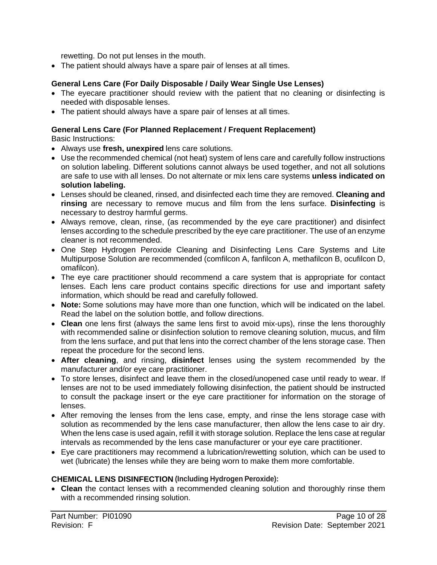rewetting. Do not put lenses in the mouth.

• The patient should always have a spare pair of lenses at all times.

### **General Lens Care (For Daily Disposable / Daily Wear Single Use Lenses)**

- The eyecare practitioner should review with the patient that no cleaning or disinfecting is needed with disposable lenses.
- The patient should always have a spare pair of lenses at all times.

# **General Lens Care (For Planned Replacement / Frequent Replacement)**

Basic Instructions:

- Always use **fresh, unexpired** lens care solutions.
- Use the recommended chemical (not heat) system of lens care and carefully follow instructions on solution labeling. Different solutions cannot always be used together, and not all solutions are safe to use with all lenses. Do not alternate or mix lens care systems **unless indicated on solution labeling.**
- Lenses should be cleaned, rinsed, and disinfected each time they are removed. **Cleaning and rinsing** are necessary to remove mucus and film from the lens surface. **Disinfecting** is necessary to destroy harmful germs.
- Always remove, clean, rinse, (as recommended by the eye care practitioner) and disinfect lenses according to the schedule prescribed by the eye care practitioner. The use of an enzyme cleaner is not recommended.
- One Step Hydrogen Peroxide Cleaning and Disinfecting Lens Care Systems and Lite Multipurpose Solution are recommended (comfilcon A, fanfilcon A, methafilcon B, ocufilcon D, omafilcon).
- The eye care practitioner should recommend a care system that is appropriate for contact lenses. Each lens care product contains specific directions for use and important safety information, which should be read and carefully followed.
- **Note:** Some solutions may have more than one function, which will be indicated on the label. Read the label on the solution bottle, and follow directions.
- **Clean** one lens first (always the same lens first to avoid mix-ups), rinse the lens thoroughly with recommended saline or disinfection solution to remove cleaning solution, mucus, and film from the lens surface, and put that lens into the correct chamber of the lens storage case. Then repeat the procedure for the second lens.
- **After cleaning**, and rinsing, **disinfect** lenses using the system recommended by the manufacturer and/or eye care practitioner.
- To store lenses, disinfect and leave them in the closed/unopened case until ready to wear. If lenses are not to be used immediately following disinfection, the patient should be instructed to consult the package insert or the eye care practitioner for information on the storage of lenses.
- After removing the lenses from the lens case, empty, and rinse the lens storage case with solution as recommended by the lens case manufacturer, then allow the lens case to air dry. When the lens case is used again, refill it with storage solution. Replace the lens case at regular intervals as recommended by the lens case manufacturer or your eye care practitioner.
- Eye care practitioners may recommend a lubrication/rewetting solution, which can be used to wet (lubricate) the lenses while they are being worn to make them more comfortable.

### **CHEMICAL LENS DISINFECTION (Including Hydrogen Peroxide):**

• **Clean** the contact lenses with a recommended cleaning solution and thoroughly rinse them with a recommended rinsing solution.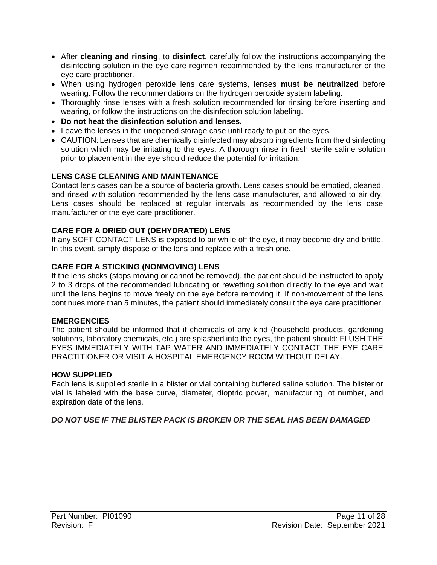- After **cleaning and rinsing**, to **disinfect**, carefully follow the instructions accompanying the disinfecting solution in the eye care regimen recommended by the lens manufacturer or the eye care practitioner.
- When using hydrogen peroxide lens care systems, lenses **must be neutralized** before wearing. Follow the recommendations on the hydrogen peroxide system labeling.
- Thoroughly rinse lenses with a fresh solution recommended for rinsing before inserting and wearing, or follow the instructions on the disinfection solution labeling.
- **Do not heat the disinfection solution and lenses.**
- Leave the lenses in the unopened storage case until ready to put on the eyes.
- CAUTION: Lenses that are chemically disinfected may absorb ingredients from the disinfecting solution which may be irritating to the eyes. A thorough rinse in fresh sterile saline solution prior to placement in the eye should reduce the potential for irritation.

### **LENS CASE CLEANING AND MAINTENANCE**

Contact lens cases can be a source of bacteria growth. Lens cases should be emptied, cleaned, and rinsed with solution recommended by the lens case manufacturer, and allowed to air dry. Lens cases should be replaced at regular intervals as recommended by the lens case manufacturer or the eye care practitioner.

### **CARE FOR A DRIED OUT (DEHYDRATED) LENS**

If any SOFT CONTACT LENS is exposed to air while off the eye, it may become dry and brittle. In this event, simply dispose of the lens and replace with a fresh one.

#### **CARE FOR A STICKING (NONMOVING) LENS**

If the lens sticks (stops moving or cannot be removed), the patient should be instructed to apply 2 to 3 drops of the recommended lubricating or rewetting solution directly to the eye and wait until the lens begins to move freely on the eye before removing it. If non-movement of the lens continues more than 5 minutes, the patient should immediately consult the eye care practitioner.

#### **EMERGENCIES**

The patient should be informed that if chemicals of any kind (household products, gardening solutions, laboratory chemicals, etc.) are splashed into the eyes, the patient should: FLUSH THE EYES IMMEDIATELY WITH TAP WATER AND IMMEDIATELY CONTACT THE EYE CARE PRACTITIONER OR VISIT A HOSPITAL EMERGENCY ROOM WITHOUT DELAY.

#### **HOW SUPPLIED**

Each lens is supplied sterile in a blister or vial containing buffered saline solution. The blister or vial is labeled with the base curve, diameter, dioptric power, manufacturing lot number, and expiration date of the lens.

#### *DO NOT USE IF THE BLISTER PACK IS BROKEN OR THE SEAL HAS BEEN DAMAGED*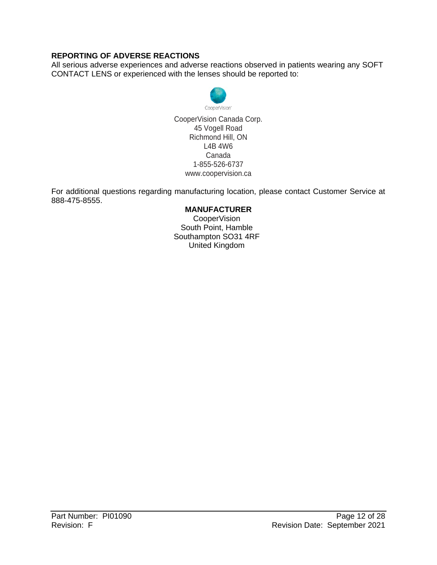### **REPORTING OF ADVERSE REACTIONS**

All serious adverse experiences and adverse reactions observed in patients wearing any SOFT CONTACT LENS or experienced with the lenses should be reported to:



CooperVision Canada Corp. 45 Vogell Road Richmond Hill, ON L4B 4W6 Canada 1-855-526-6737 [www.coopervision.ca](http://www.coopervision.ca/)

For additional questions regarding manufacturing location, please contact Customer Service at 888-475-8555.

#### **MANUFACTURER**

CooperVision South Point, Hamble Southampton SO31 4RF United Kingdom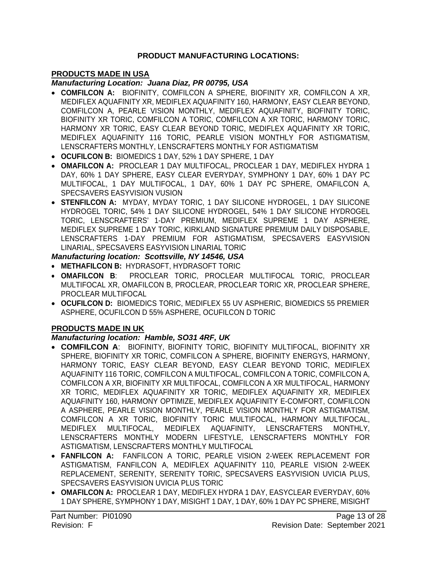#### **PRODUCT MANUFACTURING LOCATIONS:**

### **PRODUCTS MADE IN USA**

#### *Manufacturing Location: Juana Diaz, PR 00795, USA*

- **COMFILCON A:** BIOFINITY, COMFILCON A SPHERE, BIOFINITY XR, COMFILCON A XR, MEDIFLEX AQUAFINITY XR, MEDIFLEX AQUAFINITY 160, HARMONY, EASY CLEAR BEYOND, COMFILCON A, PEARLE VISION MONTHLY, MEDIFLEX AQUAFINITY, BIOFINITY TORIC, BIOFINITY XR TORIC, COMFILCON A TORIC, COMFILCON A XR TORIC, HARMONY TORIC, HARMONY XR TORIC, EASY CLEAR BEYOND TORIC, MEDIFLEX AQUAFINITY XR TORIC, MEDIFLEX AQUAFINITY 116 TORIC, PEARLE VISION MONTHLY FOR ASTIGMATISM, LENSCRAFTERS MONTHLY, LENSCRAFTERS MONTHLY FOR ASTIGMATISM
- **OCUFILCON B:** BIOMEDICS 1 DAY, 52% 1 DAY SPHERE, 1 DAY
- **OMAFILCON A:** PROCLEAR 1 DAY MULTIFOCAL, PROCLEAR 1 DAY, MEDIFLEX HYDRA 1 DAY, 60% 1 DAY SPHERE, EASY CLEAR EVERYDAY, SYMPHONY 1 DAY, 60% 1 DAY PC MULTIFOCAL, 1 DAY MULTIFOCAL, 1 DAY, 60% 1 DAY PC SPHERE, OMAFILCON A, SPECSAVERS EASYVISION VUSION
- **STENFILCON A:** MYDAY, MYDAY TORIC, 1 DAY SILICONE HYDROGEL, 1 DAY SILICONE HYDROGEL TORIC, 54% 1 DAY SILICONE HYDROGEL, 54% 1 DAY SILICONE HYDROGEL TORIC, LENSCRAFTERS' 1-DAY PREMIUM, MEDIFLEX SUPREME 1 DAY ASPHERE, MEDIFLEX SUPREME 1 DAY TORIC, KIRKLAND SIGNATURE PREMIUM DAILY DISPOSABLE, LENSCRAFTERS 1-DAY PREMIUM FOR ASTIGMATISM, SPECSAVERS EASYVISION LINARIAL, SPECSAVERS EASYVISION LINARIAL TORIC

### *Manufacturing location: Scottsville, NY 14546, USA*

- **METHAFILCON B:** HYDRASOFT, HYDRASOFT TORIC
- **OMAFILCON B**: PROCLEAR TORIC, PROCLEAR MULTIFOCAL TORIC, PROCLEAR MULTIFOCAL XR, OMAFILCON B, PROCLEAR, PROCLEAR TORIC XR, PROCLEAR SPHERE, PROCLEAR MULTIFOCAL
- **OCUFILCON D:** BIOMEDICS TORIC, MEDIFLEX 55 UV ASPHERIC, BIOMEDICS 55 PREMIER ASPHERE, OCUFILCON D 55% ASPHERE, OCUFILCON D TORIC

#### **PRODUCTS MADE IN UK**

#### *Manufacturing location: Hamble, SO31 4RF, UK*

- **COMFILCON A**: BIOFINITY, BIOFINITY TORIC, BIOFINITY MULTIFOCAL, BIOFINITY XR SPHERE, BIOFINITY XR TORIC, COMFILCON A SPHERE, BIOFINITY ENERGYS, HARMONY, HARMONY TORIC, EASY CLEAR BEYOND, EASY CLEAR BEYOND TORIC, MEDIFLEX AQUAFINITY 116 TORIC, COMFILCON A MULTIFOCAL, COMFILCON A TORIC, COMFILCON A, COMFILCON A XR, BIOFINITY XR MULTIFOCAL, COMFILCON A XR MULTIFOCAL, HARMONY XR TORIC, MEDIFLEX AQUAFINITY XR TORIC, MEDIFLEX AQUAFINITY XR, MEDIFLEX AQUAFINITY 160, HARMONY OPTIMIZE, MEDIFLEX AQUAFINITY E-COMFORT, COMFILCON A ASPHERE, PEARLE VISION MONTHLY, PEARLE VISION MONTHLY FOR ASTIGMATISM, COMFILCON A XR TORIC, BIOFINITY TORIC MULTIFOCAL, HARMONY MULTIFOCAL, MEDIFLEX MULTIFOCAL, MEDIFLEX AQUAFINITY, LENSCRAFTERS MONTHLY, LENSCRAFTERS MONTHLY MODERN LIFESTYLE, LENSCRAFTERS MONTHLY FOR ASTIGMATISM, LENSCRAFTERS MONTHLY MULTIFOCAL
- **FANFILCON A:** FANFILCON A TORIC, PEARLE VISION 2-WEEK REPLACEMENT FOR ASTIGMATISM, FANFILCON A, MEDIFLEX AQUAFINITY 110, PEARLE VISION 2-WEEK REPLACEMENT, SERENITY, SERENITY TORIC, SPECSAVERS EASYVISION UVICIA PLUS, SPECSAVERS EASYVISION UVICIA PLUS TORIC
- **OMAFILCON A:** PROCLEAR 1 DAY, MEDIFLEX HYDRA 1 DAY, EASYCLEAR EVERYDAY, 60% 1 DAY SPHERE, SYMPHONY 1 DAY, MISIGHT 1 DAY, 1 DAY, 60% 1 DAY PC SPHERE, MISIGHT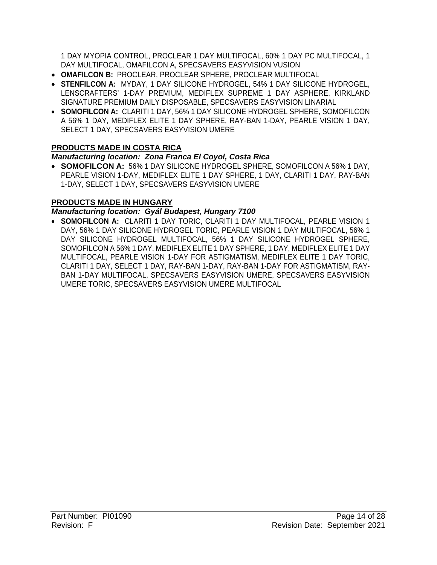1 DAY MYOPIA CONTROL, PROCLEAR 1 DAY MULTIFOCAL, 60% 1 DAY PC MULTIFOCAL, 1 DAY MULTIFOCAL, OMAFILCON A, SPECSAVERS EASYVISION VUSION

- **OMAFILCON B:** PROCLEAR, PROCLEAR SPHERE, PROCLEAR MULTIFOCAL
- **STENFILCON A:** MYDAY, 1 DAY SILICONE HYDROGEL, 54% 1 DAY SILICONE HYDROGEL, LENSCRAFTERS' 1-DAY PREMIUM, MEDIFLEX SUPREME 1 DAY ASPHERE, KIRKLAND SIGNATURE PREMIUM DAILY DISPOSABLE, SPECSAVERS EASYVISION LINARIAL
- **SOMOFILCON A:** CLARITI 1 DAY, 56% 1 DAY SILICONE HYDROGEL SPHERE, SOMOFILCON A 56% 1 DAY, MEDIFLEX ELITE 1 DAY SPHERE, RAY-BAN 1-DAY, PEARLE VISION 1 DAY, SELECT 1 DAY, SPECSAVERS EASYVISION UMERE

### **PRODUCTS MADE IN COSTA RICA**

### *Manufacturing location: Zona Franca El Coyol, Costa Rica*

• **SOMOFILCON A:** 56% 1 DAY SILICONE HYDROGEL SPHERE, SOMOFILCON A 56% 1 DAY, PEARLE VISION 1-DAY, MEDIFLEX ELITE 1 DAY SPHERE, 1 DAY, CLARITI 1 DAY, RAY-BAN 1-DAY, SELECT 1 DAY, SPECSAVERS EASYVISION UMERE

### **PRODUCTS MADE IN HUNGARY**

### *Manufacturing location: Gyál Budapest, Hungary 7100*

• **SOMOFILCON A:** CLARITI 1 DAY TORIC, CLARITI 1 DAY MULTIFOCAL, PEARLE VISION 1 DAY, 56% 1 DAY SILICONE HYDROGEL TORIC, PEARLE VISION 1 DAY MULTIFOCAL, 56% 1 DAY SILICONE HYDROGEL MULTIFOCAL, 56% 1 DAY SILICONE HYDROGEL SPHERE, SOMOFILCON A 56% 1 DAY, MEDIFLEX ELITE 1 DAY SPHERE, 1 DAY, MEDIFLEX ELITE 1 DAY MULTIFOCAL, PEARLE VISION 1-DAY FOR ASTIGMATISM, MEDIFLEX ELITE 1 DAY TORIC, CLARITI 1 DAY, SELECT 1 DAY, RAY-BAN 1-DAY, RAY-BAN 1-DAY FOR ASTIGMATISM, RAY-BAN 1-DAY MULTIFOCAL, SPECSAVERS EASYVISION UMERE, SPECSAVERS EASYVISION UMERE TORIC, SPECSAVERS EASYVISION UMERE MULTIFOCAL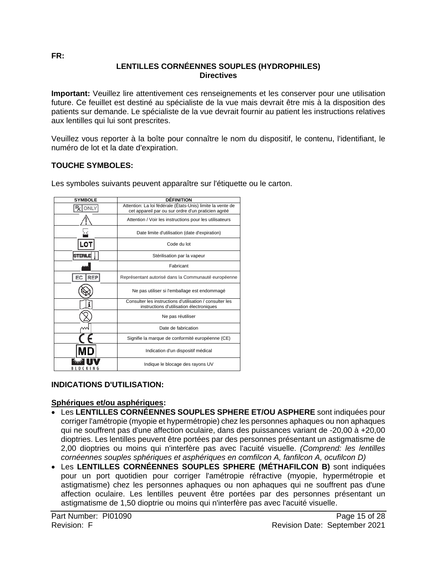#### **LENTILLES CORNÉENNES SOUPLES (HYDROPHILES) Directives**

**Important:** Veuillez lire attentivement ces renseignements et les conserver pour une utilisation future. Ce feuillet est destiné au spécialiste de la vue mais devrait être mis à la disposition des patients sur demande. Le spécialiste de la vue devrait fournir au patient les instructions relatives aux lentilles qui lui sont prescrites.

Veuillez vous reporter à la boîte pour connaître le nom du dispositif, le contenu, l'identifiant, le numéro de lot et la date d'expiration.

### **TOUCHE SYMBOLES:**

| <b>SYMBOLE</b>   | <b>DÉFINITION</b>                                                                                                |
|------------------|------------------------------------------------------------------------------------------------------------------|
| ONLY             | Attention: La loi fédérale (États-Unis) limite la vente de<br>cet appareil par ou sur ordre d'un praticien agréé |
|                  | Attention / Voir les instructions pour les utilisateurs                                                          |
|                  | Date limite d'utilisation (date d'expiration)                                                                    |
| _ດ               | Code du lot                                                                                                      |
| <b>STERI</b>     | Stérilisation par la vapeur                                                                                      |
|                  | Fabricant                                                                                                        |
| <b>REP</b><br>EC | Représentant autorisé dans la Communauté européenne                                                              |
|                  | Ne pas utiliser si l'emballage est endommagé                                                                     |
| Ť                | Consulter les instructions d'utilisation / consulter les<br>instructions d'utilisation électroniques             |
|                  | Ne pas réutiliser                                                                                                |
|                  | Date de fabrication                                                                                              |
|                  | Signifie la marque de conformité européenne (CE)                                                                 |
|                  | Indication d'un dispositif médical                                                                               |
|                  | Indique le blocage des rayons UV                                                                                 |

Les symboles suivants peuvent apparaître sur l'étiquette ou le carton.

# **INDICATIONS D'UTILISATION:**

### **Sphériques et/ou asphériques:**

- Les **LENTILLES CORNÉENNES SOUPLES SPHERE ET/OU ASPHERE** sont indiquées pour corriger l'amétropie (myopie et hypermétropie) chez les personnes aphaques ou non aphaques qui ne souffrent pas d'une affection oculaire, dans des puissances variant de -20,00 à +20,00 dioptries. Les lentilles peuvent être portées par des personnes présentant un astigmatisme de 2,00 dioptries ou moins qui n'interfère pas avec l'acuité visuelle. *(Comprend: les lentilles cornéennes souples sphériques et asphériques en comfilcon A, fanfilcon A, ocufilcon D)*
- Les **LENTILLES CORNÉENNES SOUPLES SPHERE (MÉTHAFILCON B)** sont indiquées pour un port quotidien pour corriger l'amétropie réfractive (myopie, hypermétropie et astigmatisme) chez les personnes aphaques ou non aphaques qui ne souffrent pas d'une affection oculaire. Les lentilles peuvent être portées par des personnes présentant un astigmatisme de 1,50 dioptrie ou moins qui n'interfère pas avec l'acuité visuelle.

<span id="page-14-0"></span>**FR:**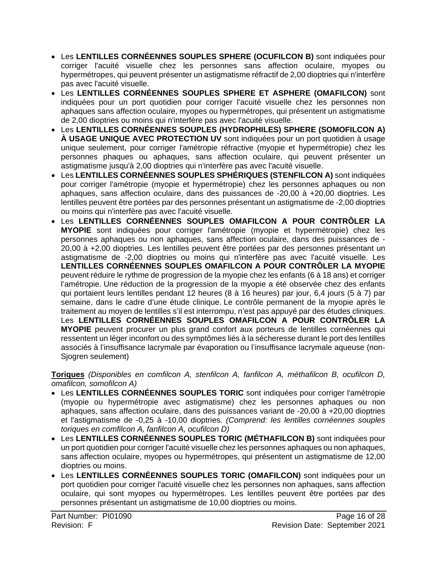- Les **LENTILLES CORNÉENNES SOUPLES SPHERE (OCUFILCON B)** sont indiquées pour corriger l'acuité visuelle chez les personnes sans affection oculaire, myopes ou hypermétropes, qui peuvent présenter un astigmatisme réfractif de 2,00 dioptries qui n'interfère pas avec l'acuité visuelle.
- Les **LENTILLES CORNÉENNES SOUPLES SPHERE ET ASPHERE (OMAFILCON)** sont indiquées pour un port quotidien pour corriger l'acuité visuelle chez les personnes non aphaques sans affection oculaire, myopes ou hypermétropes, qui présentent un astigmatisme de 2,00 dioptries ou moins qui n'interfère pas avec l'acuité visuelle.
- Les **LENTILLES CORNÉENNES SOUPLES (HYDROPHILES) SPHERE (SOMOFILCON A) À USAGE UNIQUE AVEC PROTECTION UV** sont indiquées pour un port quotidien à usage unique seulement, pour corriger l'amétropie réfractive (myopie et hypermétropie) chez les personnes phaques ou aphaques, sans affection oculaire, qui peuvent présenter un astigmatisme jusqu'à 2,00 dioptries qui n'interfère pas avec l'acuité visuelle.
- Les **LENTILLES CORNÉENNES SOUPLES SPHÉRIQUES (STENFILCON A)** sont indiquées pour corriger l'amétropie (myopie et hypermétropie) chez les personnes aphaques ou non aphaques, sans affection oculaire, dans des puissances de -20,00 à +20,00 dioptries. Les lentilles peuvent être portées par des personnes présentant un astigmatisme de -2,00 dioptries ou moins qui n'interfère pas avec l'acuité visuelle.
- Les **LENTILLES CORNÉENNES SOUPLES OMAFILCON A POUR CONTRÔLER LA MYOPIE** sont indiquées pour corriger l'amétropie (myopie et hypermétropie) chez les personnes aphaques ou non aphaques, sans affection oculaire, dans des puissances de - 20,00 à +2,00 dioptries. Les lentilles peuvent être portées par des personnes présentant un astigmatisme de -2,00 dioptries ou moins qui n'interfère pas avec l'acuité visuelle. Les **LENTILLES CORNÉENNES SOUPLES OMAFILCON A POUR CONTRÔLER LA MYOPIE** peuvent réduire le rythme de progression de la myopie chez les enfants (6 à 18 ans) et corriger l'amétropie. Une réduction de la progression de la myopie a été observée chez des enfants qui portaient leurs lentilles pendant 12 heures (8 à 16 heures) par jour, 6,4 jours (5 à 7) par semaine, dans le cadre d'une étude clinique. Le contrôle permanent de la myopie après le traitement au moyen de lentilles s'il est interrompu, n'est pas appuyé par des études cliniques. Les **LENTILLES CORNÉENNES SOUPLES OMAFILCON A POUR CONTRÔLER LA MYOPIE** peuvent procurer un plus grand confort aux porteurs de lentilles cornéennes qui ressentent un léger inconfort ou des symptômes liés à la sécheresse durant le port des lentilles associés à l'insuffisance lacrymale par évaporation ou l'insuffisance lacrymale aqueuse (non-Sjogren seulement)

**Toriques** *(Disponibles en comfilcon A, stenfilcon A, fanfilcon A, méthafilcon B, ocufilcon D, omafilcon, somofilcon A)*

- Les **LENTILLES CORNÉENNES SOUPLES TORIC** sont indiquées pour corriger l'amétropie (myopie ou hypermétropie avec astigmatisme) chez les personnes aphaques ou non aphaques, sans affection oculaire, dans des puissances variant de -20,00 à +20,00 dioptries et l'astigmatisme de -0,25 à -10,00 dioptries. *(Comprend: les lentilles cornéennes souples toriques en comfilcon A, fanfilcon A, ocufilcon D)*
- Les **LENTILLES CORNÉENNES SOUPLES TORIC (MÉTHAFILCON B)** sont indiquées pour un port quotidien pour corriger l'acuité visuelle chez les personnes aphaques ou non aphaques, sans affection oculaire, myopes ou hypermétropes, qui présentent un astigmatisme de 12,00 dioptries ou moins.
- Les **LENTILLES CORNÉENNES SOUPLES TORIC (OMAFILCON)** sont indiquées pour un port quotidien pour corriger l'acuité visuelle chez les personnes non aphaques, sans affection oculaire, qui sont myopes ou hypermétropes. Les lentilles peuvent être portées par des personnes présentant un astigmatisme de 10,00 dioptries ou moins.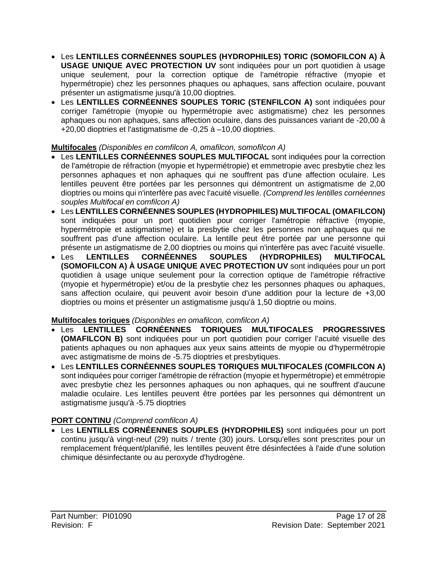- Les **LENTILLES CORNÉENNES SOUPLES (HYDROPHILES) TORIC (SOMOFILCON A) À USAGE UNIQUE AVEC PROTECTION UV** sont indiquées pour un port quotidien à usage unique seulement, pour la correction optique de l'amétropie réfractive (myopie et hypermétropie) chez les personnes phaques ou aphaques, sans affection oculaire, pouvant présenter un astigmatisme jusqu'à 10,00 dioptries.
- Les **LENTILLES CORNÉENNES SOUPLES TORIC (STENFILCON A)** sont indiquées pour corriger l'amétropie (myopie ou hypermétropie avec astigmatisme) chez les personnes aphaques ou non aphaques, sans affection oculaire, dans des puissances variant de -20,00 à +20,00 dioptries et l'astigmatisme de -0,25 à –10,00 dioptries.

### **Multifocales** *(Disponibles en comfilcon A, omafilcon, somofilcon A)*

- Les **LENTILLES CORNÉENNES SOUPLES MULTIFOCAL** sont indiquées pour la correction de l'amétropie de réfraction (myopie et hypermétropie) et emmetropie avec presbytie chez les personnes aphaques et non aphaques qui ne souffrent pas d'une affection oculaire. Les lentilles peuvent être portées par les personnes qui démontrent un astigmatisme de 2,00 dioptries ou moins qui n'interfère pas avec l'acuité visuelle. *(Comprend les lentilles cornéennes souples Multifocal en comfilcon A)*
- Les **LENTILLES CORNÉENNES SOUPLES (HYDROPHILES) MULTIFOCAL (OMAFILCON)** sont indiquées pour un port quotidien pour corriger l'amétropie réfractive (myopie, hypermétropie et astigmatisme) et la presbytie chez les personnes non aphaques qui ne souffrent pas d'une affection oculaire. La lentille peut être portée par une personne qui présente un astigmatisme de 2,00 dioptries ou moins qui n'interfère pas avec l'acuité visuelle.
- Les **LENTILLES CORNÉENNES SOUPLES (HYDROPHILES) MULTIFOCAL (SOMOFILCON A) À USAGE UNIQUE AVEC PROTECTION UV** sont indiquées pour un port quotidien à usage unique seulement pour la correction optique de l'amétropie réfractive (myopie et hypermétropie) et/ou de la presbytie chez les personnes phaques ou aphaques, sans affection oculaire, qui peuvent avoir besoin d'une addition pour la lecture de +3,00 dioptries ou moins et présenter un astigmatisme jusqu'à 1,50 dioptrie ou moins.

### **Multifocales toriques** *(Disponibles en omafilcon, comfilcon A)*

- Les **LENTILLES CORNÉENNES TORIQUES MULTIFOCALES PROGRESSIVES (OMAFILCON B)** sont indiquées pour un port quotidien pour corriger l'acuité visuelle des patients aphaques ou non aphaques aux yeux sains atteints de myopie ou d'hypermétropie avec astigmatisme de moins de -5.75 dioptries et presbytiques.
- Les **LENTILLES CORNÉENNES SOUPLES TORIQUES MULTIFOCALES (COMFILCON A)** sont indiquées pour corriger l'amétropie de réfraction (myopie et hypermétropie) et emmétropie avec presbytie chez les personnes aphaques ou non aphaques, qui ne souffrent d'aucune maladie oculaire. Les lentilles peuvent être portées par les personnes qui démontrent un astigmatisme jusqu'à -5.75 dioptries

### **PORT CONTINU** *(Comprend comfilcon A)*

• Les **LENTILLES CORNÉENNES SOUPLES (HYDROPHILES)** sont indiquées pour un port continu jusqu'à vingt-neuf (29) nuits / trente (30) jours. Lorsqu'elles sont prescrites pour un remplacement fréquent/planifié, les lentilles peuvent être désinfectées à l'aide d'une solution chimique désinfectante ou au peroxyde d'hydrogène.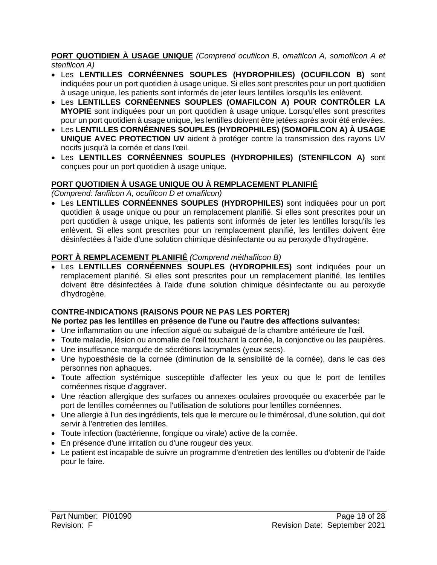**PORT QUOTIDIEN À USAGE UNIQUE** *(Comprend ocufilcon B, omafilcon A, somofilcon A et stenfilcon A)*

- Les **LENTILLES CORNÉENNES SOUPLES (HYDROPHILES) (OCUFILCON B)** sont indiquées pour un port quotidien à usage unique. Si elles sont prescrites pour un port quotidien à usage unique, les patients sont informés de jeter leurs lentilles lorsqu'ils les enlèvent.
- Les **LENTILLES CORNÉENNES SOUPLES (OMAFILCON A) POUR CONTRÔLER LA MYOPIE** sont indiquées pour un port quotidien à usage unique. Lorsqu'elles sont prescrites pour un port quotidien à usage unique, les lentilles doivent être jetées après avoir été enlevées.
- Les **LENTILLES CORNÉENNES SOUPLES (HYDROPHILES) (SOMOFILCON A) À USAGE UNIQUE AVEC PROTECTION UV** aident à protéger contre la transmission des rayons UV nocifs jusqu'à la cornée et dans l'œil.
- Les **LENTILLES CORNÉENNES SOUPLES (HYDROPHILES) (STENFILCON A)** sont conçues pour un port quotidien à usage unique.

### **PORT QUOTIDIEN À USAGE UNIQUE OU À REMPLACEMENT PLANIFIÉ**

*(Comprend: fanfilcon A, ocufilcon D et omafilcon)*

• Les **LENTILLES CORNÉENNES SOUPLES (HYDROPHILES)** sont indiquées pour un port quotidien à usage unique ou pour un remplacement planifié. Si elles sont prescrites pour un port quotidien à usage unique, les patients sont informés de jeter les lentilles lorsqu'ils les enlèvent. Si elles sont prescrites pour un remplacement planifié, les lentilles doivent être désinfectées à l'aide d'une solution chimique désinfectante ou au peroxyde d'hydrogène.

# **PORT À REMPLACEMENT PLANIFIÉ** *(Comprend méthafilcon B)*

• Les **LENTILLES CORNÉENNES SOUPLES (HYDROPHILES)** sont indiquées pour un remplacement planifié. Si elles sont prescrites pour un remplacement planifié, les lentilles doivent être désinfectées à l'aide d'une solution chimique désinfectante ou au peroxyde d'hydrogène.

### **CONTRE-INDICATIONS (RAISONS POUR NE PAS LES PORTER)**

### **Ne portez pas les lentilles en présence de l'une ou l'autre des affections suivantes:**

- Une inflammation ou une infection aiguë ou subaiguë de la chambre antérieure de l'œil.
- Toute maladie, lésion ou anomalie de l'œil touchant la cornée, la conjonctive ou les paupières.
- Une insuffisance marquée de sécrétions lacrymales (yeux secs).
- Une hypoesthésie de la cornée (diminution de la sensibilité de la cornée), dans le cas des personnes non aphaques.
- Toute affection systémique susceptible d'affecter les yeux ou que le port de lentilles cornéennes risque d'aggraver.
- Une réaction allergique des surfaces ou annexes oculaires provoquée ou exacerbée par le port de lentilles cornéennes ou l'utilisation de solutions pour lentilles cornéennes.
- Une allergie à l'un des ingrédients, tels que le mercure ou le thimérosal, d'une solution, qui doit servir à l'entretien des lentilles.
- Toute infection (bactérienne, fongique ou virale) active de la cornée.
- En présence d'une irritation ou d'une rougeur des yeux.
- Le patient est incapable de suivre un programme d'entretien des lentilles ou d'obtenir de l'aide pour le faire.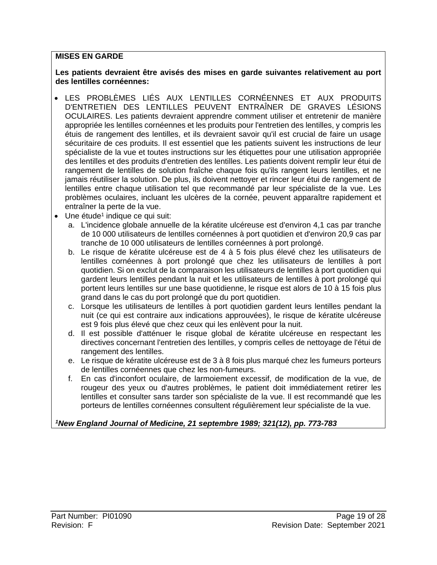#### **MISES EN GARDE**

#### **Les patients devraient être avisés des mises en garde suivantes relativement au port des lentilles cornéennes:**

- LES PROBLÈMES LIÉS AUX LENTILLES CORNÉENNES ET AUX PRODUITS D'ENTRETIEN DES LENTILLES PEUVENT ENTRAÎNER DE GRAVES LÉSIONS OCULAIRES. Les patients devraient apprendre comment utiliser et entretenir de manière appropriée les lentilles cornéennes et les produits pour l'entretien des lentilles, y compris les étuis de rangement des lentilles, et ils devraient savoir qu'il est crucial de faire un usage sécuritaire de ces produits. Il est essentiel que les patients suivent les instructions de leur spécialiste de la vue et toutes instructions sur les étiquettes pour une utilisation appropriée des lentilles et des produits d'entretien des lentilles. Les patients doivent remplir leur étui de rangement de lentilles de solution fraîche chaque fois qu'ils rangent leurs lentilles, et ne jamais réutiliser la solution. De plus, ils doivent nettoyer et rincer leur étui de rangement de lentilles entre chaque utilisation tel que recommandé par leur spécialiste de la vue. Les problèmes oculaires, incluant les ulcères de la cornée, peuvent apparaître rapidement et entraîner la perte de la vue.
- $\bullet$  Une étude<sup>1</sup> indique ce qui suit:
	- a. L'incidence globale annuelle de la kératite ulcéreuse est d'environ 4,1 cas par tranche de 10 000 utilisateurs de lentilles cornéennes à port quotidien et d'environ 20,9 cas par tranche de 10 000 utilisateurs de lentilles cornéennes à port prolongé.
	- b. Le risque de kératite ulcéreuse est de 4 à 5 fois plus élevé chez les utilisateurs de lentilles cornéennes à port prolongé que chez les utilisateurs de lentilles à port quotidien. Si on exclut de la comparaison les utilisateurs de lentilles à port quotidien qui gardent leurs lentilles pendant la nuit et les utilisateurs de lentilles à port prolongé qui portent leurs lentilles sur une base quotidienne, le risque est alors de 10 à 15 fois plus grand dans le cas du port prolongé que du port quotidien.
	- c. Lorsque les utilisateurs de lentilles à port quotidien gardent leurs lentilles pendant la nuit (ce qui est contraire aux indications approuvées), le risque de kératite ulcéreuse est 9 fois plus élevé que chez ceux qui les enlèvent pour la nuit.
	- d. Il est possible d'atténuer le risque global de kératite ulcéreuse en respectant les directives concernant l'entretien des lentilles, y compris celles de nettoyage de l'étui de rangement des lentilles.
	- e. Le risque de kératite ulcéreuse est de 3 à 8 fois plus marqué chez les fumeurs porteurs de lentilles cornéennes que chez les non-fumeurs.
	- f. En cas d'inconfort oculaire, de larmoiement excessif, de modification de la vue, de rougeur des yeux ou d'autres problèmes, le patient doit immédiatement retirer les lentilles et consulter sans tarder son spécialiste de la vue. Il est recommandé que les porteurs de lentilles cornéennes consultent régulièrement leur spécialiste de la vue.

### *1 New England Journal of Medicine, 21 septembre 1989; 321(12), pp. 773-783*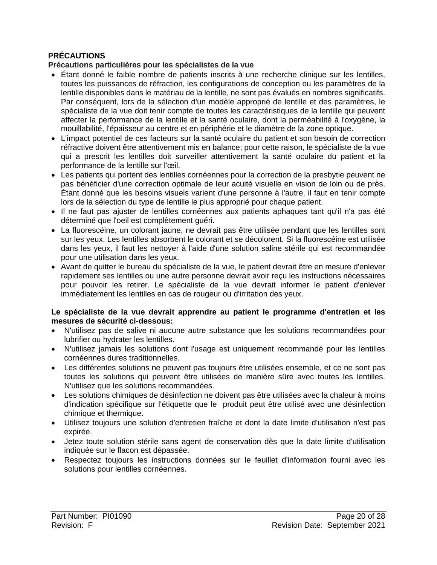## **PRÉCAUTIONS**

#### **Précautions particulières pour les spécialistes de la vue**

- Étant donné le faible nombre de patients inscrits à une recherche clinique sur les lentilles, toutes les puissances de réfraction, les configurations de conception ou les paramètres de la lentille disponibles dans le matériau de la lentille, ne sont pas évalués en nombres significatifs. Par conséquent, lors de la sélection d'un modèle approprié de lentille et des paramètres, le spécialiste de la vue doit tenir compte de toutes les caractéristiques de la lentille qui peuvent affecter la performance de la lentille et la santé oculaire, dont la perméabilité à l'oxygène, la mouillabilité, l'épaisseur au centre et en périphérie et le diamètre de la zone optique.
- L'impact potentiel de ces facteurs sur la santé oculaire du patient et son besoin de correction réfractive doivent être attentivement mis en balance; pour cette raison, le spécialiste de la vue qui a prescrit les lentilles doit surveiller attentivement la santé oculaire du patient et la performance de la lentille sur l'œil.
- Les patients qui portent des lentilles cornéennes pour la correction de la presbytie peuvent ne pas bénéficier d'une correction optimale de leur acuité visuelle en vision de loin ou de près. Étant donné que les besoins visuels varient d'une personne à l'autre, il faut en tenir compte lors de la sélection du type de lentille le plus approprié pour chaque patient.
- Il ne faut pas ajuster de lentilles cornéennes aux patients aphaques tant qu'il n'a pas été déterminé que l'oeil est complètement guéri.
- La fluorescéine, un colorant jaune, ne devrait pas être utilisée pendant que les lentilles sont sur les yeux. Les lentilles absorbent le colorant et se décolorent. Si la fluorescéine est utilisée dans les yeux, il faut les nettoyer à l'aide d'une solution saline stérile qui est recommandée pour une utilisation dans les yeux.
- Avant de quitter le bureau du spécialiste de la vue, le patient devrait être en mesure d'enlever rapidement ses lentilles ou une autre personne devrait avoir reçu les instructions nécessaires pour pouvoir les retirer. Le spécialiste de la vue devrait informer le patient d'enlever immédiatement les lentilles en cas de rougeur ou d'irritation des yeux.

#### **Le spécialiste de la vue devrait apprendre au patient le programme d'entretien et les mesures de sécurité ci-dessous:**

- N'utilisez pas de salive ni aucune autre substance que les solutions recommandées pour lubrifier ou hydrater les lentilles.
- N'utilisez jamais les solutions dont l'usage est uniquement recommandé pour les lentilles cornéennes dures traditionnelles.
- Les différentes solutions ne peuvent pas toujours être utilisées ensemble, et ce ne sont pas toutes les solutions qui peuvent être utilisées de manière sûre avec toutes les lentilles. N'utilisez que les solutions recommandées.
- Les solutions chimiques de désinfection ne doivent pas être utilisées avec la chaleur à moins d'indication spécifique sur l'étiquette que le produit peut être utilisé avec une désinfection chimique et thermique.
- Utilisez toujours une solution d'entretien fraîche et dont la date limite d'utilisation n'est pas expirée.
- Jetez toute solution stérile sans agent de conservation dès que la date limite d'utilisation indiquée sur le flacon est dépassée.
- Respectez toujours les instructions données sur le feuillet d'information fourni avec les solutions pour lentilles cornéennes.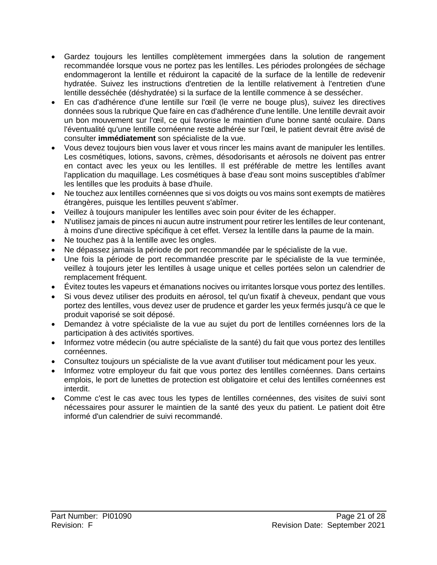- Gardez toujours les lentilles complètement immergées dans la solution de rangement recommandée lorsque vous ne portez pas les lentilles. Les périodes prolongées de séchage endommageront la lentille et réduiront la capacité de la surface de la lentille de redevenir hydratée. Suivez les instructions d'entretien de la lentille relativement à l'entretien d'une lentille desséchée (déshydratée) si la surface de la lentille commence à se dessécher.
- En cas d'adhérence d'une lentille sur l'œil (le verre ne bouge plus), suivez les directives données sous la rubrique Que faire en cas d'adhérence d'une lentille. Une lentille devrait avoir un bon mouvement sur l'œil, ce qui favorise le maintien d'une bonne santé oculaire. Dans l'éventualité qu'une lentille cornéenne reste adhérée sur l'œil, le patient devrait être avisé de consulter **immédiatement** son spécialiste de la vue.
- Vous devez toujours bien vous laver et vous rincer les mains avant de manipuler les lentilles. Les cosmétiques, lotions, savons, crèmes, désodorisants et aérosols ne doivent pas entrer en contact avec les yeux ou les lentilles. Il est préférable de mettre les lentilles avant l'application du maquillage. Les cosmétiques à base d'eau sont moins susceptibles d'abîmer les lentilles que les produits à base d'huile.
- Ne touchez aux lentilles cornéennes que si vos doigts ou vos mains sont exempts de matières étrangères, puisque les lentilles peuvent s'abîmer.
- Veillez à toujours manipuler les lentilles avec soin pour éviter de les échapper.
- N'utilisez jamais de pinces ni aucun autre instrument pour retirer les lentilles de leur contenant, à moins d'une directive spécifique à cet effet. Versez la lentille dans la paume de la main.
- Ne touchez pas à la lentille avec les ongles.
- Ne dépassez jamais la période de port recommandée par le spécialiste de la vue.
- Une fois la période de port recommandée prescrite par le spécialiste de la vue terminée, veillez à toujours jeter les lentilles à usage unique et celles portées selon un calendrier de remplacement fréquent.
- Évitez toutes les vapeurs et émanations nocives ou irritantes lorsque vous portez des lentilles.
- Si vous devez utiliser des produits en aérosol, tel qu'un fixatif à cheveux, pendant que vous portez des lentilles, vous devez user de prudence et garder les yeux fermés jusqu'à ce que le produit vaporisé se soit déposé.
- Demandez à votre spécialiste de la vue au sujet du port de lentilles cornéennes lors de la participation à des activités sportives.
- Informez votre médecin (ou autre spécialiste de la santé) du fait que vous portez des lentilles cornéennes.
- Consultez toujours un spécialiste de la vue avant d'utiliser tout médicament pour les yeux.
- Informez votre employeur du fait que vous portez des lentilles cornéennes. Dans certains emplois, le port de lunettes de protection est obligatoire et celui des lentilles cornéennes est interdit.
- Comme c'est le cas avec tous les types de lentilles cornéennes, des visites de suivi sont nécessaires pour assurer le maintien de la santé des yeux du patient. Le patient doit être informé d'un calendrier de suivi recommandé.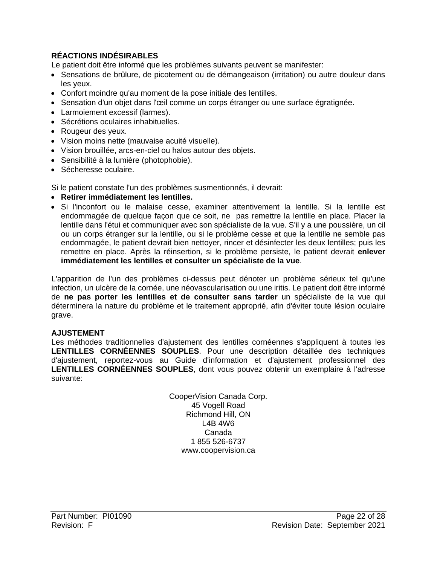# **RÉACTIONS INDÉSIRABLES**

Le patient doit être informé que les problèmes suivants peuvent se manifester:

- Sensations de brûlure, de picotement ou de démangeaison (irritation) ou autre douleur dans les yeux.
- Confort moindre qu'au moment de la pose initiale des lentilles.
- Sensation d'un objet dans l'œil comme un corps étranger ou une surface égratignée.
- Larmoiement excessif (larmes).
- Sécrétions oculaires inhabituelles.
- Rougeur des yeux.
- Vision moins nette (mauvaise acuité visuelle).
- Vision brouillée, arcs-en-ciel ou halos autour des objets.
- Sensibilité à la lumière (photophobie).
- Sécheresse oculaire.

Si le patient constate l'un des problèmes susmentionnés, il devrait:

- **Retirer immédiatement les lentilles.**
- Si l'inconfort ou le malaise cesse, examiner attentivement la lentille. Si la lentille est endommagée de quelque façon que ce soit, ne pas remettre la lentille en place. Placer la lentille dans l'étui et communiquer avec son spécialiste de la vue. S'il y a une poussière, un cil ou un corps étranger sur la lentille, ou si le problème cesse et que la lentille ne semble pas endommagée, le patient devrait bien nettoyer, rincer et désinfecter les deux lentilles; puis les remettre en place. Après la réinsertion, si le problème persiste, le patient devrait **enlever immédiatement les lentilles et consulter un spécialiste de la vue**.

L'apparition de l'un des problèmes ci-dessus peut dénoter un problème sérieux tel qu'une infection, un ulcère de la cornée, une néovascularisation ou une iritis. Le patient doit être informé de **ne pas porter les lentilles et de consulter sans tarder** un spécialiste de la vue qui déterminera la nature du problème et le traitement approprié, afin d'éviter toute lésion oculaire grave.

#### **AJUSTEMENT**

Les méthodes traditionnelles d'ajustement des lentilles cornéennes s'appliquent à toutes les **LENTILLES CORNÉENNES SOUPLES**. Pour une description détaillée des techniques d'ajustement, reportez-vous au Guide d'information et d'ajustement professionnel des **LENTILLES CORNÉENNES SOUPLES**, dont vous pouvez obtenir un exemplaire à l'adresse suivante:

> CooperVision Canada Corp. 45 Vogell Road Richmond Hill, ON L4B 4W6 Canada 1 855 526-6737 www.coopervision.ca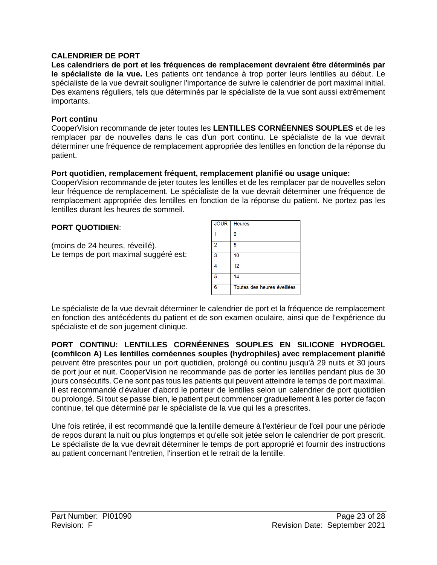#### **CALENDRIER DE PORT**

**Les calendriers de port et les fréquences de remplacement devraient être déterminés par le spécialiste de la vue.** Les patients ont tendance à trop porter leurs lentilles au début. Le spécialiste de la vue devrait souligner l'importance de suivre le calendrier de port maximal initial. Des examens réguliers, tels que déterminés par le spécialiste de la vue sont aussi extrêmement importants.

#### **Port continu**

CooperVision recommande de jeter toutes les **LENTILLES CORNÉENNES SOUPLES** et de les remplacer par de nouvelles dans le cas d'un port continu. Le spécialiste de la vue devrait déterminer une fréquence de remplacement appropriée des lentilles en fonction de la réponse du patient.

#### **Port quotidien, remplacement fréquent, remplacement planifié ou usage unique:**

CooperVision recommande de jeter toutes les lentilles et de les remplacer par de nouvelles selon leur fréquence de remplacement. Le spécialiste de la vue devrait déterminer une fréquence de remplacement appropriée des lentilles en fonction de la réponse du patient. Ne portez pas les lentilles durant les heures de sommeil.

#### **PORT QUOTIDIEN**:

(moins de 24 heures, réveillé). Le temps de port maximal suggéré est:



Le spécialiste de la vue devrait déterminer le calendrier de port et la fréquence de remplacement en fonction des antécédents du patient et de son examen oculaire, ainsi que de l'expérience du spécialiste et de son jugement clinique.

**PORT CONTINU: LENTILLES CORNÉENNES SOUPLES EN SILICONE HYDROGEL (comfilcon A) Les lentilles cornéennes souples (hydrophiles) avec remplacement planifié**  peuvent être prescrites pour un port quotidien, prolongé ou continu jusqu'à 29 nuits et 30 jours de port jour et nuit. CooperVision ne recommande pas de porter les lentilles pendant plus de 30 jours consécutifs. Ce ne sont pas tous les patients qui peuvent atteindre le temps de port maximal. Il est recommandé d'évaluer d'abord le porteur de lentilles selon un calendrier de port quotidien ou prolongé. Si tout se passe bien, le patient peut commencer graduellement à les porter de façon continue, tel que déterminé par le spécialiste de la vue qui les a prescrites.

Une fois retirée, il est recommandé que la lentille demeure à l'extérieur de l'œil pour une période de repos durant la nuit ou plus longtemps et qu'elle soit jetée selon le calendrier de port prescrit. Le spécialiste de la vue devrait déterminer le temps de port approprié et fournir des instructions au patient concernant l'entretien, l'insertion et le retrait de la lentille.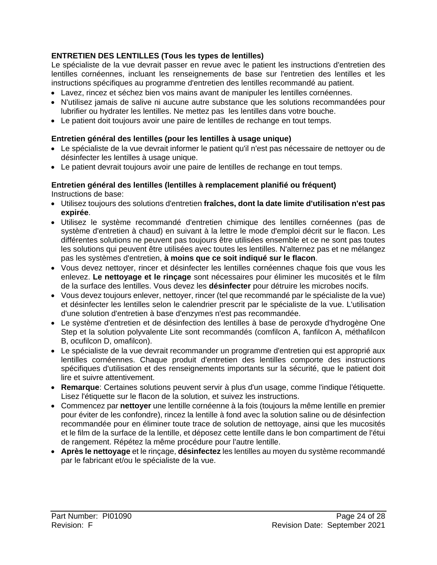### **ENTRETIEN DES LENTILLES (Tous les types de lentilles)**

Le spécialiste de la vue devrait passer en revue avec le patient les instructions d'entretien des lentilles cornéennes, incluant les renseignements de base sur l'entretien des lentilles et les instructions spécifiques au programme d'entretien des lentilles recommandé au patient.

- Lavez, rincez et séchez bien vos mains avant de manipuler les lentilles cornéennes.
- N'utilisez jamais de salive ni aucune autre substance que les solutions recommandées pour lubrifier ou hydrater les lentilles. Ne mettez pas les lentilles dans votre bouche.
- Le patient doit toujours avoir une paire de lentilles de rechange en tout temps.

#### **Entretien général des lentilles (pour les lentilles à usage unique)**

- Le spécialiste de la vue devrait informer le patient qu'il n'est pas nécessaire de nettoyer ou de désinfecter les lentilles à usage unique.
- Le patient devrait toujours avoir une paire de lentilles de rechange en tout temps.

#### **Entretien général des lentilles (lentilles à remplacement planifié ou fréquent)**  Instructions de base:

- Utilisez toujours des solutions d'entretien **fraîches, dont la date limite d'utilisation n'est pas expirée**.
- Utilisez le système recommandé d'entretien chimique des lentilles cornéennes (pas de système d'entretien à chaud) en suivant à la lettre le mode d'emploi décrit sur le flacon. Les différentes solutions ne peuvent pas toujours être utilisées ensemble et ce ne sont pas toutes les solutions qui peuvent être utilisées avec toutes les lentilles. N'alternez pas et ne mélangez pas les systèmes d'entretien, **à moins que ce soit indiqué sur le flacon**.
- Vous devez nettoyer, rincer et désinfecter les lentilles cornéennes chaque fois que vous les enlevez. **Le nettoyage et le rinçage** sont nécessaires pour éliminer les mucosités et le film de la surface des lentilles. Vous devez les **désinfecter** pour détruire les microbes nocifs.
- Vous devez toujours enlever, nettoyer, rincer (tel que recommandé par le spécialiste de la vue) et désinfecter les lentilles selon le calendrier prescrit par le spécialiste de la vue. L'utilisation d'une solution d'entretien à base d'enzymes n'est pas recommandée.
- Le système d'entretien et de désinfection des lentilles à base de peroxyde d'hydrogène One Step et la solution polyvalente Lite sont recommandés (comfilcon A, fanfilcon A, méthafilcon B, ocufilcon D, omafilcon).
- Le spécialiste de la vue devrait recommander un programme d'entretien qui est approprié aux lentilles cornéennes. Chaque produit d'entretien des lentilles comporte des instructions spécifiques d'utilisation et des renseignements importants sur la sécurité, que le patient doit lire et suivre attentivement.
- **Remarque**: Certaines solutions peuvent servir à plus d'un usage, comme l'indique l'étiquette. Lisez l'étiquette sur le flacon de la solution, et suivez les instructions.
- Commencez par **nettoyer** une lentille cornéenne à la fois (toujours la même lentille en premier pour éviter de les confondre), rincez la lentille à fond avec la solution saline ou de désinfection recommandée pour en éliminer toute trace de solution de nettoyage, ainsi que les mucosités et le film de la surface de la lentille, et déposez cette lentille dans le bon compartiment de l'étui de rangement. Répétez la même procédure pour l'autre lentille.
- **Après le nettoyage** et le rinçage, **désinfectez** les lentilles au moyen du système recommandé par le fabricant et/ou le spécialiste de la vue.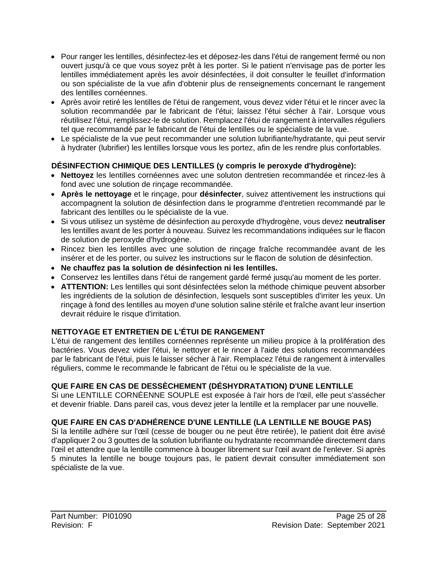- Pour ranger les lentilles, désinfectez-les et déposez-les dans l'étui de rangement fermé ou non ouvert jusqu'à ce que vous soyez prêt à les porter. Si le patient n'envisage pas de porter les lentilles immédiatement après les avoir désinfectées, il doit consulter le feuillet d'information ou son spécialiste de la vue afin d'obtenir plus de renseignements concernant le rangement des lentilles cornéennes.
- Après avoir retiré les lentilles de l'étui de rangement, vous devez vider l'étui et le rincer avec la solution recommandée par le fabricant de l'étui; laissez l'étui sécher à l'air. Lorsque vous réutilisez l'étui, remplissez-le de solution. Remplacez l'étui de rangement à intervalles réguliers tel que recommandé par le fabricant de l'étui de lentilles ou le spécialiste de la vue.
- Le spécialiste de la vue peut recommander une solution lubrifiante/hydratante, qui peut servir à hydrater (lubrifier) les lentilles lorsque vous les portez, afin de les rendre plus confortables.

### **DÉSINFECTION CHIMIQUE DES LENTILLES (y compris le peroxyde d'hydrogène):**

- **Nettoyez** les lentilles cornéennes avec une soluton dentretien recommandée et rincez-les à fond avec une solution de rinçage recommandée.
- **Après le nettoyage** et le rinçage, pour **désinfecter**, suivez attentivement les instructions qui accompagnent la solution de désinfection dans le programme d'entretien recommandé par le fabricant des lentilles ou le spécialiste de la vue.
- Si vous utilisez un système de désinfection au peroxyde d'hydrogène, vous devez **neutraliser** les lentilles avant de les porter à nouveau. Suivez les recommandations indiquées sur le flacon de solution de peroxyde d'hydrogène.
- Rincez bien les lentilles avec une solution de rinçage fraîche recommandée avant de les insérer et de les porter, ou suivez les instructions sur le flacon de solution de désinfection.
- **Ne chauffez pas la solution de désinfection ni les lentilles.**
- Conservez les lentilles dans l'étui de rangement gardé fermé jusqu'au moment de les porter.
- **ATTENTION:** Les lentilles qui sont désinfectées selon la méthode chimique peuvent absorber les ingrédients de la solution de désinfection, lesquels sont susceptibles d'irriter les yeux. Un rinçage à fond des lentilles au moyen d'une solution saline stérile et fraîche avant leur insertion devrait réduire le risque d'irritation.

### **NETTOYAGE ET ENTRETIEN DE L'ÉTUI DE RANGEMENT**

L'étui de rangement des lentilles cornéennes représente un milieu propice à la prolifération des bactéries. Vous devez vider l'étui, le nettoyer et le rincer à l'aide des solutions recommandées par le fabricant de l'étui, puis le laisser sécher à l'air. Remplacez l'étui de rangement à intervalles réguliers, comme le recommande le fabricant de l'étui ou le spécialiste de la vue.

### **QUE FAIRE EN CAS DE DESSÈCHEMENT (DÉSHYDRATATION) D'UNE LENTILLE**

Si une LENTILLE CORNÉENNE SOUPLE est exposée à l'air hors de l'œil, elle peut s'assécher et devenir friable. Dans pareil cas, vous devez jeter la lentille et la remplacer par une nouvelle.

### **QUE FAIRE EN CAS D'ADHÉRENCE D'UNE LENTILLE (LA LENTILLE NE BOUGE PAS)**

Si la lentille adhère sur l'œil (cesse de bouger ou ne peut être retirée), le patient doit être avisé d'appliquer 2 ou 3 gouttes de la solution lubrifiante ou hydratante recommandée directement dans l'œil et attendre que la lentille commence à bouger librement sur l'œil avant de l'enlever. Si après 5 minutes la lentille ne bouge toujours pas, le patient devrait consulter immédiatement son spécialiste de la vue.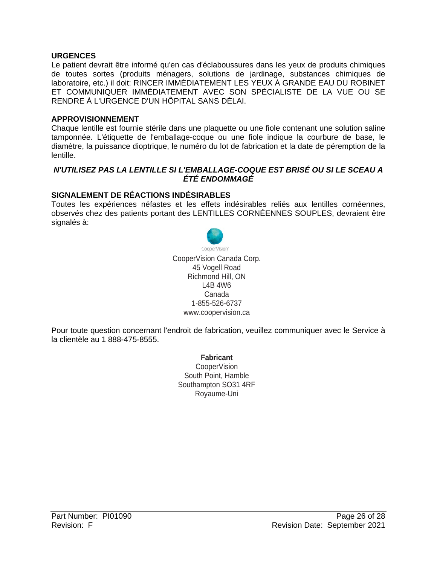#### **URGENCES**

Le patient devrait être informé qu'en cas d'éclaboussures dans les yeux de produits chimiques de toutes sortes (produits ménagers, solutions de jardinage, substances chimiques de laboratoire, etc.) il doit: RINCER IMMÉDIATEMENT LES YEUX À GRANDE EAU DU ROBINET ET COMMUNIQUER IMMÉDIATEMENT AVEC SON SPÉCIALISTE DE LA VUE OU SE RENDRE À L'URGENCE D'UN HÔPITAL SANS DÉLAI.

#### **APPROVISIONNEMENT**

Chaque lentille est fournie stérile dans une plaquette ou une fiole contenant une solution saline tamponnée. L'étiquette de l'emballage-coque ou une fiole indique la courbure de base, le diamètre, la puissance dioptrique, le numéro du lot de fabrication et la date de péremption de la lentille.

#### *N'UTILISEZ PAS LA LENTILLE SI L'EMBALLAGE-COQUE EST BRISÉ OU SI LE SCEAU A ÉTÉ ENDOMMAGÉ*

#### **SIGNALEMENT DE RÉACTIONS INDÉSIRABLES**

Toutes les expériences néfastes et les effets indésirables reliés aux lentilles cornéennes, observés chez des patients portant des LENTILLES CORNÉENNES SOUPLES, devraient être signalés à:



CooperVision Canada Corp. 45 Vogell Road Richmond Hill, ON L4B 4W6 Canada 1-855-526-6737 [www.coopervision.ca](http://www.coopervision.ca/)

Pour toute question concernant l'endroit de fabrication, veuillez communiquer avec le Service à la clientèle au 1 888-475-8555.

> **Fabricant** CooperVision South Point, Hamble Southampton SO31 4RF Royaume-Uni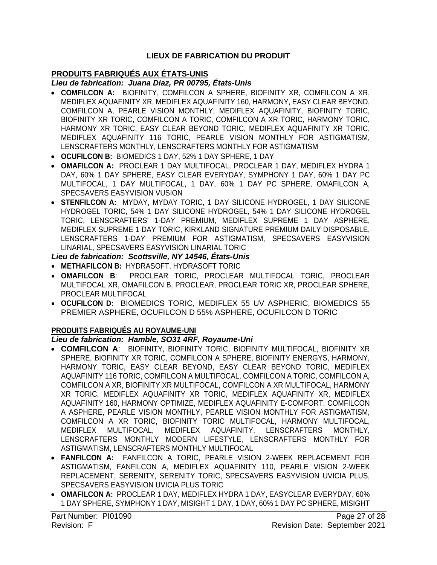### **LIEUX DE FABRICATION DU PRODUIT**

### **PRODUITS FABRIQUÉS AUX ÉTATS-UNIS**

#### *Lieu de fabrication: Juana Diaz, PR 00795, États-Unis*

- **COMFILCON A:** BIOFINITY, COMFILCON A SPHERE, BIOFINITY XR, COMFILCON A XR, MEDIFLEX AQUAFINITY XR, MEDIFLEX AQUAFINITY 160, HARMONY, EASY CLEAR BEYOND, COMFILCON A, PEARLE VISION MONTHLY, MEDIFLEX AQUAFINITY, BIOFINITY TORIC, BIOFINITY XR TORIC, COMFILCON A TORIC, COMFILCON A XR TORIC, HARMONY TORIC, HARMONY XR TORIC, EASY CLEAR BEYOND TORIC, MEDIFLEX AQUAFINITY XR TORIC, MEDIFLEX AQUAFINITY 116 TORIC, PEARLE VISION MONTHLY FOR ASTIGMATISM, LENSCRAFTERS MONTHLY, LENSCRAFTERS MONTHLY FOR ASTIGMATISM
- **OCUFILCON B:** BIOMEDICS 1 DAY, 52% 1 DAY SPHERE, 1 DAY
- **OMAFILCON A:** PROCLEAR 1 DAY MULTIFOCAL, PROCLEAR 1 DAY, MEDIFLEX HYDRA 1 DAY, 60% 1 DAY SPHERE, EASY CLEAR EVERYDAY, SYMPHONY 1 DAY, 60% 1 DAY PC MULTIFOCAL, 1 DAY MULTIFOCAL, 1 DAY, 60% 1 DAY PC SPHERE, OMAFILCON A, SPECSAVERS EASYVISION VUSION
- **STENFILCON A:** MYDAY, MYDAY TORIC, 1 DAY SILICONE HYDROGEL, 1 DAY SILICONE HYDROGEL TORIC, 54% 1 DAY SILICONE HYDROGEL, 54% 1 DAY SILICONE HYDROGEL TORIC, LENSCRAFTERS' 1-DAY PREMIUM, MEDIFLEX SUPREME 1 DAY ASPHERE, MEDIFLEX SUPREME 1 DAY TORIC, KIRKLAND SIGNATURE PREMIUM DAILY DISPOSABLE, LENSCRAFTERS 1-DAY PREMIUM FOR ASTIGMATISM, SPECSAVERS EASYVISION LINARIAL, SPECSAVERS EASYVISION LINARIAL TORIC

### *Lieu de fabrication: Scottsville, NY 14546, États-Unis*

- **METHAFILCON B:** HYDRASOFT, HYDRASOFT TORIC
- **OMAFILCON B**: PROCLEAR TORIC, PROCLEAR MULTIFOCAL TORIC, PROCLEAR MULTIFOCAL XR, OMAFILCON B, PROCLEAR, PROCLEAR TORIC XR, PROCLEAR SPHERE, PROCLEAR MULTIFOCAL
- **OCUFILCON D:** BIOMEDICS TORIC, MEDIFLEX 55 UV ASPHERIC, BIOMEDICS 55 PREMIER ASPHERE, OCUFILCON D 55% ASPHERE, OCUFILCON D TORIC

### **PRODUITS FABRIQUÉS AU ROYAUME-UNI**

#### *Lieu de fabrication: Hamble, SO31 4RF, Royaume-Uni*

- **COMFILCON A**: BIOFINITY, BIOFINITY TORIC, BIOFINITY MULTIFOCAL, BIOFINITY XR SPHERE, BIOFINITY XR TORIC, COMFILCON A SPHERE, BIOFINITY ENERGYS, HARMONY, HARMONY TORIC, EASY CLEAR BEYOND, EASY CLEAR BEYOND TORIC, MEDIFLEX AQUAFINITY 116 TORIC, COMFILCON A MULTIFOCAL, COMFILCON A TORIC, COMFILCON A, COMFILCON A XR, BIOFINITY XR MULTIFOCAL, COMFILCON A XR MULTIFOCAL, HARMONY XR TORIC, MEDIFLEX AQUAFINITY XR TORIC, MEDIFLEX AQUAFINITY XR, MEDIFLEX AQUAFINITY 160, HARMONY OPTIMIZE, MEDIFLEX AQUAFINITY E-COMFORT, COMFILCON A ASPHERE, PEARLE VISION MONTHLY, PEARLE VISION MONTHLY FOR ASTIGMATISM, COMFILCON A XR TORIC, BIOFINITY TORIC MULTIFOCAL, HARMONY MULTIFOCAL, MEDIFLEX MULTIFOCAL, MEDIFLEX AQUAFINITY, LENSCRAFTERS MONTHLY, LENSCRAFTERS MONTHLY MODERN LIFESTYLE, LENSCRAFTERS MONTHLY FOR ASTIGMATISM, LENSCRAFTERS MONTHLY MULTIFOCAL
- **FANFILCON A:** FANFILCON A TORIC, PEARLE VISION 2-WEEK REPLACEMENT FOR ASTIGMATISM, FANFILCON A, MEDIFLEX AQUAFINITY 110, PEARLE VISION 2-WEEK REPLACEMENT, SERENITY, SERENITY TORIC, SPECSAVERS EASYVISION UVICIA PLUS, SPECSAVERS EASYVISION UVICIA PLUS TORIC
- **OMAFILCON A:** PROCLEAR 1 DAY, MEDIFLEX HYDRA 1 DAY, EASYCLEAR EVERYDAY, 60% 1 DAY SPHERE, SYMPHONY 1 DAY, MISIGHT 1 DAY, 1 DAY, 60% 1 DAY PC SPHERE, MISIGHT